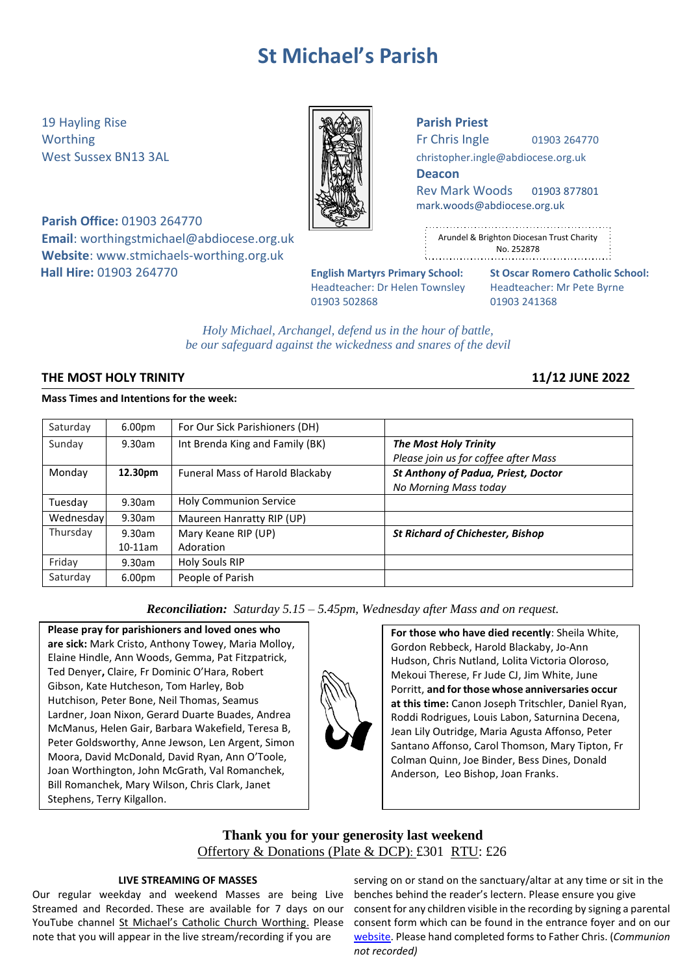# **St Michael's Parish**

19 Hayling Rise **Parish Priest**

**Parish Office:** 01903 264770 **Email**: [worthingstmichael@abdiocese.org.uk](mailto:worthingstmichael@abdiocese.org.uk) **Website**: [www.stmichaels-worthing.org.uk](http://www.stmichaels-worthing.org.uk/) **Hall Hire:** 01903 264770 **English Martyrs Primary School: St Oscar Romero Catholic School:**

|--|

Worthing  $\parallel$   $\parallel$   $\parallel$   $\parallel$   $\parallel$  Fr Chris Ingle 01903 264770

West Sussex BN13 3AL **[christopher.ingle@abdiocese.org.uk](mailto:christopher.ingle@abdiocese.org.uk)** | **christopher.ingle@abdiocese.org.uk** 

**Deacon**

Rev Mark Woods 01903 877801 [mark.woods@abdiocese.org.uk](mailto:mark.woods@abdiocese.org.uk)

| ٠                                              |
|------------------------------------------------|
| ÷<br>Arundel & Brighton Diocesan Trust Charity |
| ٠<br>No. 252878<br>٠<br>٠                      |
|                                                |

Headteacher: Dr Helen Townsley Headteacher: Mr Pete Byrne 01903 502868 01903 241368

*Holy Michael, Archangel, defend us in the hour of battle, be our safeguard against the wickedness and snares of the devil*

# **THE MOST HOLY TRINITY 11/12 JUNE 2022**

# **Mass Times and Intentions for the week:**

| Saturday  | 6.00 <sub>pm</sub> | For Our Sick Parishioners (DH)  |                                            |
|-----------|--------------------|---------------------------------|--------------------------------------------|
| Sunday    | 9.30am             | Int Brenda King and Family (BK) | <b>The Most Holy Trinity</b>               |
|           |                    |                                 | Please join us for coffee after Mass       |
| Monday    | 12.30pm            | Funeral Mass of Harold Blackaby | <b>St Anthony of Padua, Priest, Doctor</b> |
|           |                    |                                 | No Morning Mass today                      |
| Tuesday   | 9.30am             | <b>Holy Communion Service</b>   |                                            |
| Wednesday | 9.30am             | Maureen Hanratty RIP (UP)       |                                            |
| Thursday  | 9.30am             | Mary Keane RIP (UP)             | <b>St Richard of Chichester, Bishop</b>    |
|           | $10-11am$          | Adoration                       |                                            |
| Friday    | 9.30am             | Holy Souls RIP                  |                                            |
| Saturday  | 6.00 <sub>pm</sub> | People of Parish                |                                            |

*Reconciliation: Saturday 5.15 – 5.45pm, Wednesday after Mass and on request.*

**Please pray for parishioners and loved ones who are sick:** Mark Cristo, Anthony Towey, Maria Molloy, Elaine Hindle, Ann Woods, Gemma, Pat Fitzpatrick, Ted Denyer**,** Claire, Fr Dominic O'Hara, Robert Gibson, Kate Hutcheson, Tom Harley, Bob Hutchison, Peter Bone, Neil Thomas, Seamus Lardner, Joan Nixon, Gerard Duarte Buades, Andrea McManus, Helen Gair, Barbara Wakefield, Teresa B, Peter Goldsworthy, Anne Jewson, Len Argent, Simon Moora, David McDonald, David Ryan, Ann O'Toole, Joan Worthington, John McGrath, Val Romanchek, Bill Romanchek, Mary Wilson, Chris Clark, Janet Stephens, Terry Kilgallon.

**For those who have died recently**: Sheila White, Gordon Rebbeck, Harold Blackaby, Jo-Ann Hudson, Chris Nutland, Lolita Victoria Oloroso, Mekoui Therese, Fr Jude CJ, Jim White, June Porritt, **and forthose whose anniversaries occur at this time:** Canon Joseph Tritschler, Daniel Ryan, Roddi Rodrigues, Louis Labon, Saturnina Decena, Jean Lily Outridge, Maria Agusta Affonso, Peter Santano Affonso, Carol Thomson, Mary Tipton, Fr Colman Quinn, Joe Binder, Bess Dines, Donald Anderson, Leo Bishop, Joan Franks.

# **Thank you for your generosity last weekend** Offertory & Donations (Plate & DCP): £301 RTU: £26

## **LIVE STREAMING OF MASSES**

Our regular weekday and weekend Masses are being Live Streamed and Recorded. These are available for 7 days on our YouTube channel [St Michael's Catholic Church Worthing](https://www.youtube.com/channel/UCJbxYiC8NIvWP1CZ6Ate-fA/videos). Please note that you will appear in the live stream/recording if you are

serving on or stand on the sanctuary/altar at any time or sit in the benches behind the reader's lectern. Please ensure you give consent for any children visible in the recording by signing a parental consent form which can be found in the entrance foyer and on our [website.](https://www.stmichaels-worthing.org.uk/Groups/161112/St_Michaels_Worthing/Parish_News/Parish_News.aspx) Please hand completed forms to Father Chris. (*Communion not recorded)*